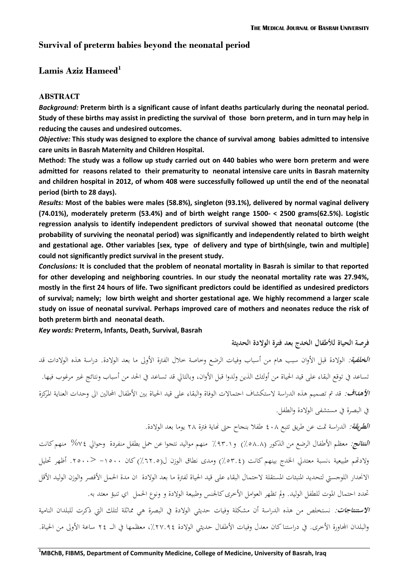# **Survival of preterm babies beyond the neonatal period**

# **Lamis Aziz Hameed<sup>1</sup>**

### **ABSTRACT**

*Background:* **Preterm birth is a significant cause of infant deaths particularly during the neonatal period. Study of these births may assist in predicting the survival of those born preterm, and in turn may help in reducing the causes and undesired outcomes.**

*Objective:* **This study was designed to explore the chance of survival among babies admitted to intensive care units in Basrah Maternity and Children Hospital.**

**Method: The study was a follow up study carried out on 440 babies who were born preterm and were admitted for reasons related to their prematurity to neonatal intensive care units in Basrah maternity and children hospital in 2012, of whom 408 were successfully followed up until the end of the neonatal period (birth to 28 days).**

*Results:* **Most of the babies were males (58.8%), singleton (93.1%), delivered by normal vaginal delivery (74.01%), moderately preterm (53.4%) and of birth weight range 1500- < 2500 grams(62.5%). Logistic regression analysis to identify independent predictors of survival showed that neonatal outcome (the probability of surviving the neonatal period) was significantly and independently related to birth weight and gestational age. Other variables [sex, type of delivery and type of birth(single, twin and multiple] could not significantly predict survival in the present study.**

*Conclusions:* **It is concluded that the problem of neonatal mortality in Basrah is similar to that reported for other developing and neighboring countries. In our study the neonatal mortality rate was 27.94%, mostly in the first 24 hours of life. Two significant predictors could be identified as undesired predictors of survival; namely; low birth weight and shorter gestational age. We highly recommend a larger scale study on issue of neonatal survival. Perhaps improved care of mothers and neonates reduce the risk of both preterm birth and neonatal death.** 

*Key words:* **Preterm, Infants, Death, Survival, Basrah**

**فرصة الحياة لألطفال الخدج بعد فترة الوالدة الحديثة**

**ا***لخلفية:* **الولادة قبل الأوان سبب هام من أسباب وفيات الرضع وخاصة خلال الفترة الأولى ما بعد الولادة. دراسة هذه الولادات قد** تساعد في توقع البقاء على قيد الحياة من أولئك الذين ولدوا قبل الأوان، وبالتالي قد تساعد في الحد من أسباب ونتائج غير مرغوب فيها. **الأه***داف:* **قد تم تصميم هذه الدراسة لاستكشاف احتمالات الوفاة والبقاء على قيد الحياة بين الأطفال المحالين الى وحدات العناية المركزة** يف البصرة يف مستشفى الوالدة والطفل.

ا*لطريقة:* الدراسة تمت عن طريق تتبع ٤٠٨ طفلا بنجاح حتى نماية فترة ٢٨ يوما بعد الولادة.

**النتائج:** معظم األطفال الرضع من الذكور )٪84.4( و٪1..9 منهم مواليد نتجوا عن محل بطفل منفردة وحوايل %48 منهم كانت ولادتهم طبيعية ،نسبة معتدلي الخدج بينهم كانت (٥٣.٤) ومدى نطاق الوزن ل(٦٢.٥) كان ١٥٠٠> <٢٥٠٠. أظهر تحليل الانحدار اللوجستي لتحديد المنبئات المستقلة لاحتمال البقاء على قيد الحياة لفترة ما بعد الولادة ان مدة الحمل الأقصر والوزن الوليد الأقل حتدد احتمال ادلوت للطفل الوليد. ومل تظهر العوامل األخرى كاجلنس وطبيعة الوالدة و ونوع احلمل اي تنبؤ معتد بو.

**االستنتاجات:** نستخلص من ىذه الدراسة أن مشكلة وفيات حديثي الوالدة يف البصرة ىي مماثلة لتلك اليت ذكرت للبلدان النامية والبلدان المحاورة الأخرى. في دراستنا كان معدل وفيات الأطفال حديثي الولادة ٢٧.٩٤٪، معظمها في الــ ٢٤ ساعة الأولى من الحياة.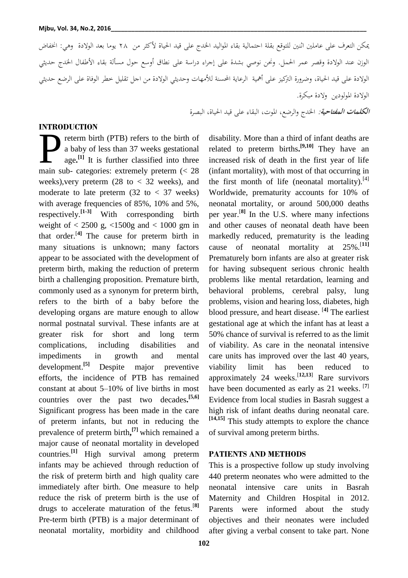ميكن التعرف على عاملني اثنني للتوقع بقلة احتمالية بقاء ادلواليد اخلدج على قيد احلياة ألكثر من 84 يوما بعد الوالدة وىي: اخنفاض الوزن عند الوالدة وقصر عمر احلمل. وحنن نوصي بشدة على إجراء دراسة على نطاق أوسع حول مسألة بقاء األطفال اخلدج حديثي الوالدة على قيد احلياة، وضرورة الًتكيز على أمهية الرعاية احملسنة لألمهات وحديثي الوالدة من اجل تقليل خطر الوفاة على الرضع حديثي الوالدة ادلولودين والدة مبكرة.

**الكلمات المفتاحية:** اخلدج والرضع، ادلوت، البقاء على قيد احلياة، البصرة

#### **INTRODUCTION**

reterm birth (PTB) refers to the birth of a baby of less than 37 weeks gestational age**. [1]** It is further classified into three The Theodocation<br>reterm birth (PTB) refers to the birth of<br>a baby of less than 37 weeks gestational<br>age.<sup>[1]</sup> It is further classified into three<br>main sub- categories: extremely preterm (< 28 weeks), very preterm  $(28 \text{ to } < 32 \text{ weeks})$ , and moderate to late preterm  $(32 \text{ to } < 37 \text{ weeks})$ with average frequencies of 85%, 10% and 5%, respectively.**[1-3]** With corresponding birth weight of  $\langle 2500 \text{ g}, \langle 1500 \text{ g} \rangle$  and  $\langle 1000 \text{ gm} \rangle$  in that order.[**4]** The cause for preterm birth in many situations is unknown; many factors appear to be associated with the development of preterm birth, making the reduction of preterm birth a challenging proposition. Premature birth, commonly used as a synonym for preterm birth, refers to the birth of a baby before the developing organs are mature enough to allow normal postnatal survival. These infants are at greater risk for short and long term complications, including disabilities and impediments in growth and mental  $development.$ <sup>[5]</sup> Despite major preventive efforts, the incidence of PTB has remained constant at about 5–10% of live births in most countries over the past two decades**. [5,6]**  Significant progress has been made in the care of preterm infants, but not in reducing the prevalence of preterm birth**, [7]** which remained a major cause of neonatal mortality in developed countries.**[1]** High survival among preterm infants may be achieved through reduction of the risk of preterm birth and high quality care immediately after birth. One measure to help reduce the risk of preterm birth is the use of drugs to accelerate maturation of the fetus. [**8]**  Pre-term birth (PTB) is a major determinant of neonatal mortality, morbidity and childhood

disability. More than a third of infant deaths are related to preterm births**. [9,10]** They have an increased risk of death in the first year of life (infant mortality), with most of that occurring in the first month of life (neonatal mortality). $[4]$ Worldwide, prematurity accounts for 10% of neonatal mortality, or around 500,000 deaths per year.[**8]** In the U.S. where many infections and other causes of neonatal death have been markedly reduced, prematurity is the leading cause of neonatal mortality at 25%.[**11]**  Prematurely born infants are also at greater risk for having subsequent serious chronic health problems like mental retardation, learning and behavioral problems, cerebral palsy, lung problems, vision and hearing loss, diabetes, high blood pressure, and heart disease. [**4]** The earliest gestational age at which the infant has at least a 50% chance of survival is referred to as the limit of viability. As care in the neonatal intensive care units has improved over the last 40 years, viability limit has been reduced to approximately 24 weeks. [**12,13**] Rare survivors have been documented as early as 21 weeks. [**7**] Evidence from local studies in Basrah suggest a high risk of infant deaths during neonatal care. **[14,15]** This study attempts to explore the chance of survival among preterm births.

#### **PATIENTS AND METHODS**

This is a prospective follow up study involving 440 preterm neonates who were admitted to the neonatal intensive care units in Basrah Maternity and Children Hospital in 2012. Parents were informed about the study objectives and their neonates were included after giving a verbal consent to take part. None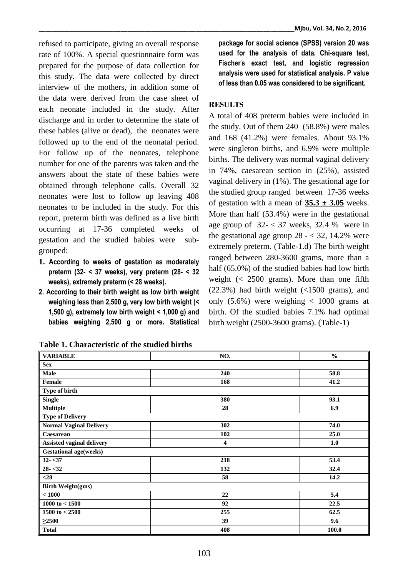refused to participate, giving an overall response rate of 100%. A special questionnaire form was prepared for the purpose of data collection for this study. The data were collected by direct interview of the mothers, in addition some of the data were derived from the case sheet of each neonate included in the study. After discharge and in order to determine the state of these babies (alive or dead), the neonates were followed up to the end of the neonatal period. For follow up of the neonates, telephone number for one of the parents was taken and the answers about the state of these babies were obtained through telephone calls. Overall 32 neonates were lost to follow up leaving 408 neonates to be included in the study. For this report, preterm birth was defined as a live birth occurring at 17-36 completed weeks of gestation and the studied babies were subgrouped:

- **1. According to weeks of gestation as moderately preterm (32- < 37 weeks), very preterm (28- < 32 weeks), extremely preterm (< 28 weeks).**
- **2. According to their birth weight as low birth weight weighing less than 2,500 g, very low birth weight (< 1,500 g), extremely low birth weight < 1,000 g) and babies weighing 2,500 g or more. Statistical**

| Mjbu, Vol. 34, No.2, 2016 |  |
|---------------------------|--|
|---------------------------|--|

**package for social science (SPSS) version 20 was used for the analysis of data. Chi-square test, Fischer's exact test, and logistic regression analysis were used for statistical analysis. P value of less than 0.05 was considered to be significant.**

#### **RESULTS**

A total of 408 preterm babies were included in the study. Out of them 240 (58.8%) were males and 168 (41.2%) were females. About 93.1% were singleton births, and 6.9% were multiple births. The delivery was normal vaginal delivery in 74%, caesarean section in (25%), assisted vaginal delivery in (1%). The gestational age for the studied group ranged between 17-36 weeks of gestation with a mean of  $35.3 \pm 3.05$  weeks. More than half (53.4%) were in the gestational age group of  $32 - < 37$  weeks, 32.4 % were in the gestational age group  $28 - < 32$ , 14.2% were extremely preterm. (Table-1.d) The birth weight ranged between 280-3600 grams, more than a half (65.0%) of the studied babies had low birth weight (< 2500 grams). More than one fifth (22.3%) had birth weight (<1500 grams), and only  $(5.6\%)$  were weighing  $\lt$  1000 grams at birth. Of the studied babies 7.1% had optimal birth weight (2500-3600 grams). (Table-1)

| <b>VARIABLE</b>                  | NO. | $\frac{0}{0}$ |  |  |
|----------------------------------|-----|---------------|--|--|
| <b>Sex</b>                       |     |               |  |  |
| Male                             | 240 | 58.8          |  |  |
| Female                           | 168 | 41.2          |  |  |
| Type of birth                    |     |               |  |  |
| <b>Single</b>                    | 380 | 93.1          |  |  |
| <b>Multiple</b>                  | 28  | 6.9           |  |  |
| <b>Type of Delivery</b>          |     |               |  |  |
| <b>Normal Vaginal Delivery</b>   | 302 | 74.0          |  |  |
| Caesarean                        | 102 | 25.0          |  |  |
| <b>Assisted vaginal delivery</b> | 4   | 1.0           |  |  |
| <b>Gestational age(weeks)</b>    |     |               |  |  |
| $32 - 37$                        | 218 | 53.4          |  |  |
| $28 - 32$                        | 132 | 32.4          |  |  |
| $28$                             | 58  | 14.2          |  |  |
| <b>Birth Weight(gms)</b>         |     |               |  |  |
| < 1000                           | 22  | 5.4           |  |  |
| 1000 to $< 1500$                 | 92  | 22.5          |  |  |
| 1500 to $< 2500$                 | 255 | 62.5          |  |  |
| $\geq$ 2500                      | 39  | 9.6           |  |  |
| <b>Total</b>                     | 408 | 100.0         |  |  |

**Table 1. Characteristic of the studied births**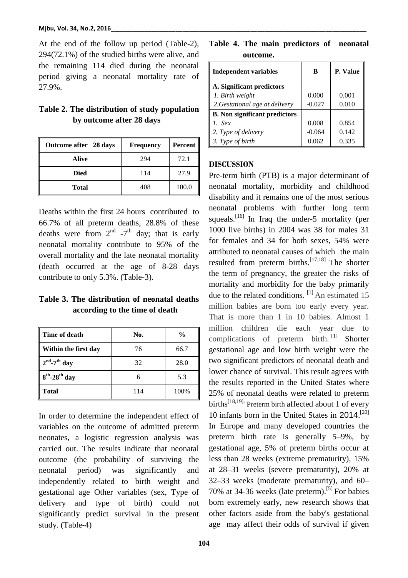At the end of the follow up period (Table-2), 294(72.1%) of the studied births were alive, and the remaining 114 died during the neonatal period giving a neonatal mortality rate of 27.9%.

## **Table 2. The distribution of study population by outcome after 28 days**

| Outcome after 28 days | <b>Frequency</b> | Percent |
|-----------------------|------------------|---------|
| Alive                 | 294              | 72.1    |
| <b>Died</b>           | 114              | 27.9    |
| <b>Total</b>          | 408              | 100.0   |

Deaths within the first 24 hours contributed to 66.7% of all preterm deaths, 28.8% of these deaths were from  $2<sup>nd</sup>$  -7<sup>th</sup> day; that is early neonatal mortality contribute to 95% of the overall mortality and the late neonatal mortality (death occurred at the age of 8-28 days contribute to only 5.3%. (Table-3).

## **Table 3. The distribution of neonatal deaths according to the time of death**

| Time of death                  | No. | $\frac{0}{0}$ |
|--------------------------------|-----|---------------|
| Within the first day           | 76  | 66.7          |
| $2nd - 7th$ day                | 32  | 28.0          |
| $8^{th}$ -28 <sup>th</sup> day | 6   | 5.3           |
| <b>Total</b>                   | 114 | 100%          |

In order to determine the independent effect of variables on the outcome of admitted preterm neonates, a logistic regression analysis was carried out. The results indicate that neonatal outcome (the probability of surviving the neonatal period) was significantly and independently related to birth weight and gestational age Other variables (sex, Type of delivery and type of birth) could not significantly predict survival in the present study. (Table-4)

**Table 4. The main predictors of neonatal outcome.**

| <b>Independent variables</b>         | в        | P. Value |
|--------------------------------------|----------|----------|
| A. Significant predictors            |          |          |
| 1. Birth weight                      | 0.000    | 0.001    |
| 2. Gestational age at delivery       | $-0.027$ | 0.010    |
| <b>B.</b> Non significant predictors |          |          |
| 1. $Sex$                             | 0.008    | 0.854    |
| 2. Type of delivery                  | $-0.064$ | 0.142    |
| 3. Type of birth                     | 0.062    | 0.335    |

#### **DISCUSSION**

Pre-term birth (PTB) is a major determinant of neonatal mortality, morbidity and childhood disability and it remains one of the most serious neonatal problems with further long term squeals.<sup>[16]</sup> In Iraq the under-5 mortality (per 1000 live births) in 2004 was 38 for males 31 for females and 34 for both sexes, 54% were attributed to neonatal causes of which the main resulted from preterm births.<sup>[17,18]</sup> The shorter the term of pregnancy, the greater the risks of mortality and morbidity for the baby primarily due to the related conditions. <sup>[1]</sup> An estimated 15 million babies are born too early every year. That is more than 1 in 10 babies. Almost 1 million children die each year due to complications of preterm birth.  $\left[1\right]$  Shorter gestational age and low birth weight were the two significant predictors of neonatal death and lower chance of survival. This result agrees with the results reported in the United States where 25% of neonatal deaths were related to preterm births<sup>[18,19]</sup> Preterm birth affected about 1 of every 10 infants born in the United States in 2014. [20] In Europe and many developed countries the preterm birth rate is generally 5–9%, by gestational age, 5% of preterm births occur at less than 28 weeks (extreme prematurity), 15% at 28–31 weeks (severe prematurity), 20% at 32–33 weeks (moderate prematurity), and 60– 70% at 34-36 weeks (late preterm).<sup>[5]</sup> For babies born extremely early, new research shows that other factors aside from the baby's gestational age may affect their odds of survival if given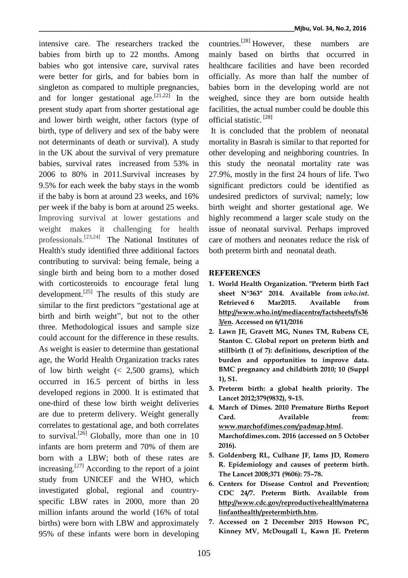intensive care. The researchers tracked the babies from birth up to 22 months. Among babies who got intensive care, survival rates were better for girls, and for babies born in singleton as compared to multiple pregnancies, and for longer gestational age.<sup>[21,22]</sup> In the present study apart from shorter gestational age and lower birth weight, other factors (type of birth, type of delivery and sex of the baby were not determinants of death or survival). A study in the UK about the survival of very premature babies, survival rates increased from 53% in 2006 to 80% in 2011.Survival increases by 9.5% for each week the baby stays in the womb if the baby is born at around 23 weeks, and 16% per week if the baby is born at around 25 weeks. Improving survival at lower gestations and weight makes it challenging for health professionals.<sup>[23,24]</sup> The National Institutes of Health's study identified three additional factors contributing to survival: being female, being a single birth and being born to a mother dosed with corticosteroids to encourage fetal lung development.<sup>[25]</sup> The results of this study are similar to the first predictors "gestational age at birth and birth weight", but not to the other three. Methodological issues and sample size could account for the difference in these results. As weight is easier to determine than gestational age, the World Health Organization tracks rates of low birth weight  $\approx 2,500$  grams), which occurred in 16.5 percent of births in less developed regions in 2000. It is estimated that one-third of these low birth weight deliveries are due to preterm delivery. Weight generally correlates to gestational age, and both correlates to survival.<sup>[26]</sup> Globally, more than one in 10 infants are born preterm and 70% of them are born with a LBW; both of these rates are increasing.[\[27](https://www.ncbi.nlm.nih.gov/pmc/articles/PMC4450779/#b20-squmj1502-e177-183)] According to the report of a joint study from UNICEF and the WHO, which investigated global, regional and countryspecific LBW rates in 2000, more than 20 million infants around the world (16% of total births) were born with LBW and approximately 95% of these infants were born in developing

countries.[28] However, these numbers are mainly based on births that occurred in healthcare facilities and have been recorded officially. As more than half the number of babies born in the developing world are not weighed, since they are born outside health facilities, the actual number could be double this official statistic. [28]

It is concluded that the problem of neonatal mortality in Basrah is similar to that reported for other developing and neighboring countries. In this study the neonatal mortality rate was 27.9%, mostly in the first 24 hours of life. Two significant predictors could be identified as undesired predictors of survival; namely; low birth weight and shorter gestational age. We highly recommend a larger scale study on the issue of neonatal survival. Perhaps improved care of mothers and neonates reduce the risk of both preterm birth and neonatal death.

### **REFERENCES**

- **1. World Health Organization. ["Preterm birth Fact](http://www.who.int/mediacentre/factsheets/fs363/en/)  [sheet N°363"](http://www.who.int/mediacentre/factsheets/fs363/en/) 2014. Available from** *who.int***. Retrieved 6 Mar2015. Available from [http://www.who.int/mediacentre/factsheets/fs36](http://www.who.int/mediacentre/factsheets/fs363/en) [3/en.](http://www.who.int/mediacentre/factsheets/fs363/en) Accessed on 6/11/2016**
- **2. Lawn JE, Gravett MG, Nunes TM, Rubens CE, Stanton C. Global report on preterm birth and stillbirth (1 of 7): definitions, description of the burden and opportunities to improve data. BMC pregnancy and childbirth 2010; 10 (Suppl 1), S1.**
- **3. Preterm birth: a global health [priority.](http://www.sciencedirect.com/science/article/pii/S0140673612608575) The Lancet 2012;379(9832), 9–15.**
- **4. March of Dimes. 2010 Premature Births Report**  Card. Available from: **[www.marchofdimes.com/padmap.html.](http://www.marchofdimes.com/padmap.html) Marchofdimes.com. 2016 (accessed on 5 October 2016).**
- **5. Goldenberg RL, Culhane JF, Iams JD, Romero R. Epidemiology and causes of preterm birth. The Lancet 2008;371 (9606): 75–78.**
- **6. Centers for Disease Control and Prevention; CDC 24/7. Preterm Birth. Available from [http://www.cdc.gov/reproductivehealth/materna](http://www.cdc.gov/reproductivehealth/maternalinfanthealth/pretermbirth.htm) [linfanthealth/pretermbirth.htm.](http://www.cdc.gov/reproductivehealth/maternalinfanthealth/pretermbirth.htm)**
- **7. Accessed on 2 December 2015 Howson PC, Kinney MV, McDougall L, Kawn JE. Preterm**